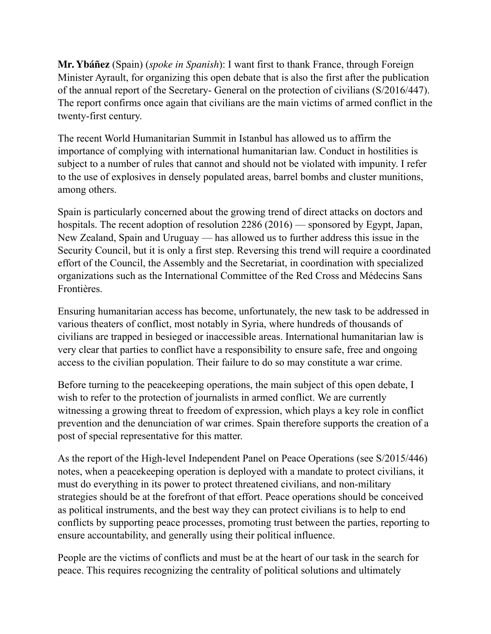**Mr. Ybáñez** (Spain) (*spoke in Spanish*): I want first to thank France, through Foreign Minister Ayrault, for organizing this open debate that is also the first after the publication of the annual report of the Secretary- General on the protection of civilians (S/2016/447). The report confirms once again that civilians are the main victims of armed conflict in the twenty-first century.

The recent World Humanitarian Summit in Istanbul has allowed us to affirm the importance of complying with international humanitarian law. Conduct in hostilities is subject to a number of rules that cannot and should not be violated with impunity. I refer to the use of explosives in densely populated areas, barrel bombs and cluster munitions, among others.

Spain is particularly concerned about the growing trend of direct attacks on doctors and hospitals. The recent adoption of resolution 2286 (2016) — sponsored by Egypt, Japan, New Zealand, Spain and Uruguay — has allowed us to further address this issue in the Security Council, but it is only a first step. Reversing this trend will require a coordinated effort of the Council, the Assembly and the Secretariat, in coordination with specialized organizations such as the International Committee of the Red Cross and Médecins Sans Frontières.

Ensuring humanitarian access has become, unfortunately, the new task to be addressed in various theaters of conflict, most notably in Syria, where hundreds of thousands of civilians are trapped in besieged or inaccessible areas. International humanitarian law is very clear that parties to conflict have a responsibility to ensure safe, free and ongoing access to the civilian population. Their failure to do so may constitute a war crime.

Before turning to the peacekeeping operations, the main subject of this open debate, I wish to refer to the protection of journalists in armed conflict. We are currently witnessing a growing threat to freedom of expression, which plays a key role in conflict prevention and the denunciation of war crimes. Spain therefore supports the creation of a post of special representative for this matter.

As the report of the High-level Independent Panel on Peace Operations (see S/2015/446) notes, when a peacekeeping operation is deployed with a mandate to protect civilians, it must do everything in its power to protect threatened civilians, and non-military strategies should be at the forefront of that effort. Peace operations should be conceived as political instruments, and the best way they can protect civilians is to help to end conflicts by supporting peace processes, promoting trust between the parties, reporting to ensure accountability, and generally using their political influence.

People are the victims of conflicts and must be at the heart of our task in the search for peace. This requires recognizing the centrality of political solutions and ultimately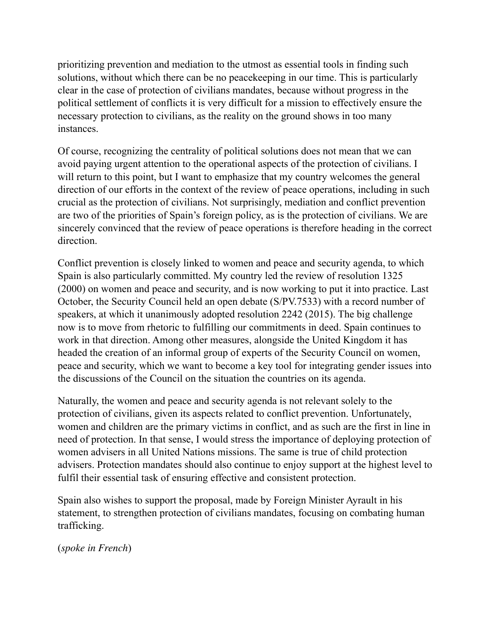prioritizing prevention and mediation to the utmost as essential tools in finding such solutions, without which there can be no peacekeeping in our time. This is particularly clear in the case of protection of civilians mandates, because without progress in the political settlement of conflicts it is very difficult for a mission to effectively ensure the necessary protection to civilians, as the reality on the ground shows in too many instances.

Of course, recognizing the centrality of political solutions does not mean that we can avoid paying urgent attention to the operational aspects of the protection of civilians. I will return to this point, but I want to emphasize that my country welcomes the general direction of our efforts in the context of the review of peace operations, including in such crucial as the protection of civilians. Not surprisingly, mediation and conflict prevention are two of the priorities of Spain's foreign policy, as is the protection of civilians. We are sincerely convinced that the review of peace operations is therefore heading in the correct direction.

Conflict prevention is closely linked to women and peace and security agenda, to which Spain is also particularly committed. My country led the review of resolution 1325 (2000) on women and peace and security, and is now working to put it into practice. Last October, the Security Council held an open debate (S/PV.7533) with a record number of speakers, at which it unanimously adopted resolution 2242 (2015). The big challenge now is to move from rhetoric to fulfilling our commitments in deed. Spain continues to work in that direction. Among other measures, alongside the United Kingdom it has headed the creation of an informal group of experts of the Security Council on women, peace and security, which we want to become a key tool for integrating gender issues into the discussions of the Council on the situation the countries on its agenda.

Naturally, the women and peace and security agenda is not relevant solely to the protection of civilians, given its aspects related to conflict prevention. Unfortunately, women and children are the primary victims in conflict, and as such are the first in line in need of protection. In that sense, I would stress the importance of deploying protection of women advisers in all United Nations missions. The same is true of child protection advisers. Protection mandates should also continue to enjoy support at the highest level to fulfil their essential task of ensuring effective and consistent protection.

Spain also wishes to support the proposal, made by Foreign Minister Ayrault in his statement, to strengthen protection of civilians mandates, focusing on combating human trafficking.

(*spoke in French*)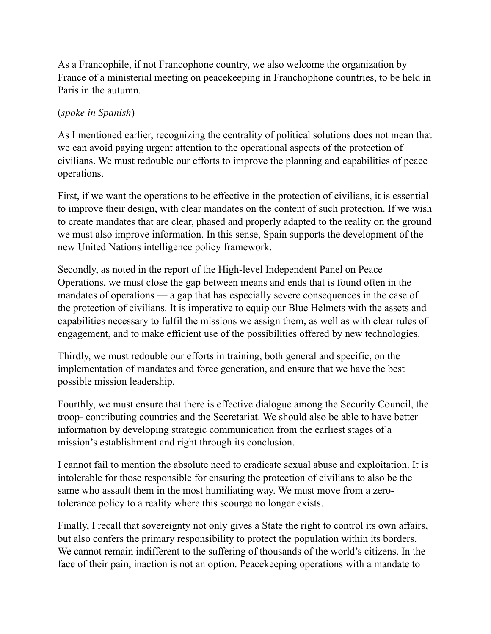As a Francophile, if not Francophone country, we also welcome the organization by France of a ministerial meeting on peacekeeping in Franchophone countries, to be held in Paris in the autumn.

## (*spoke in Spanish*)

As I mentioned earlier, recognizing the centrality of political solutions does not mean that we can avoid paying urgent attention to the operational aspects of the protection of civilians. We must redouble our efforts to improve the planning and capabilities of peace operations.

First, if we want the operations to be effective in the protection of civilians, it is essential to improve their design, with clear mandates on the content of such protection. If we wish to create mandates that are clear, phased and properly adapted to the reality on the ground we must also improve information. In this sense, Spain supports the development of the new United Nations intelligence policy framework.

Secondly, as noted in the report of the High-level Independent Panel on Peace Operations, we must close the gap between means and ends that is found often in the mandates of operations — a gap that has especially severe consequences in the case of the protection of civilians. It is imperative to equip our Blue Helmets with the assets and capabilities necessary to fulfil the missions we assign them, as well as with clear rules of engagement, and to make efficient use of the possibilities offered by new technologies.

Thirdly, we must redouble our efforts in training, both general and specific, on the implementation of mandates and force generation, and ensure that we have the best possible mission leadership.

Fourthly, we must ensure that there is effective dialogue among the Security Council, the troop- contributing countries and the Secretariat. We should also be able to have better information by developing strategic communication from the earliest stages of a mission's establishment and right through its conclusion.

I cannot fail to mention the absolute need to eradicate sexual abuse and exploitation. It is intolerable for those responsible for ensuring the protection of civilians to also be the same who assault them in the most humiliating way. We must move from a zerotolerance policy to a reality where this scourge no longer exists.

Finally, I recall that sovereignty not only gives a State the right to control its own affairs, but also confers the primary responsibility to protect the population within its borders. We cannot remain indifferent to the suffering of thousands of the world's citizens. In the face of their pain, inaction is not an option. Peacekeeping operations with a mandate to